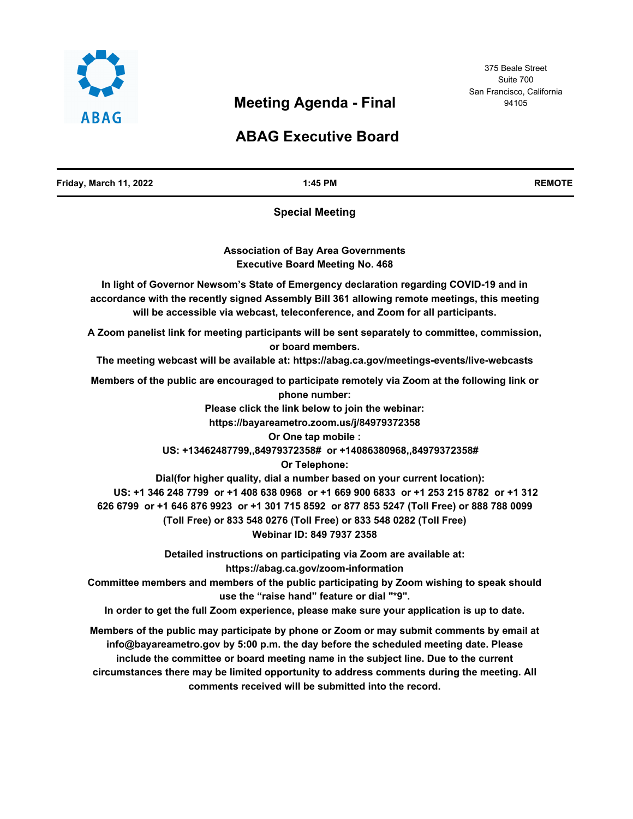

# **Meeting Agenda - Final**

# **ABAG Executive Board**

| Friday, March 11, 2022 | 1:45 PM                                                                                                                                                                                                                                                                                                                                                                                                                                                                                                                                                                                                                                                                                          | <b>REMOTE</b> |
|------------------------|--------------------------------------------------------------------------------------------------------------------------------------------------------------------------------------------------------------------------------------------------------------------------------------------------------------------------------------------------------------------------------------------------------------------------------------------------------------------------------------------------------------------------------------------------------------------------------------------------------------------------------------------------------------------------------------------------|---------------|
|                        | <b>Special Meeting</b>                                                                                                                                                                                                                                                                                                                                                                                                                                                                                                                                                                                                                                                                           |               |
|                        | <b>Association of Bay Area Governments</b><br><b>Executive Board Meeting No. 468</b>                                                                                                                                                                                                                                                                                                                                                                                                                                                                                                                                                                                                             |               |
|                        | In light of Governor Newsom's State of Emergency declaration regarding COVID-19 and in<br>accordance with the recently signed Assembly Bill 361 allowing remote meetings, this meeting<br>will be accessible via webcast, teleconference, and Zoom for all participants.                                                                                                                                                                                                                                                                                                                                                                                                                         |               |
|                        | A Zoom panelist link for meeting participants will be sent separately to committee, commission,<br>or board members.<br>The meeting webcast will be available at: https://abag.ca.gov/meetings-events/live-webcasts                                                                                                                                                                                                                                                                                                                                                                                                                                                                              |               |
|                        | Members of the public are encouraged to participate remotely via Zoom at the following link or<br>phone number:<br>Please click the link below to join the webinar:<br>https://bayareametro.zoom.us/j/84979372358<br>Or One tap mobile :<br>US: +13462487799,,84979372358# or +14086380968,,84979372358#<br>Or Telephone:<br>Dial(for higher quality, dial a number based on your current location):<br>US: +1 346 248 7799 or +1 408 638 0968 or +1 669 900 6833 or +1 253 215 8782 or +1 312<br>626 6799 or +1 646 876 9923 or +1 301 715 8592 or 877 853 5247 (Toll Free) or 888 788 0099<br>(Toll Free) or 833 548 0276 (Toll Free) or 833 548 0282 (Toll Free)<br>Webinar ID: 849 7937 2358 |               |
|                        | Detailed instructions on participating via Zoom are available at:<br>https://abag.ca.gov/zoom-information<br>Committee members and members of the public participating by Zoom wishing to speak should<br>use the "raise hand" feature or dial "*9".<br>In order to get the full Zoom experience, please make sure your application is up to date.                                                                                                                                                                                                                                                                                                                                               |               |
|                        | Members of the public may participate by phone or Zoom or may submit comments by email at<br>info@bayareametro.gov by 5:00 p.m. the day before the scheduled meeting date. Please<br>include the committee or board meeting name in the subject line. Due to the current<br>circumstances there may be limited opportunity to address comments during the meeting. All<br>comments received will be submitted into the record.                                                                                                                                                                                                                                                                   |               |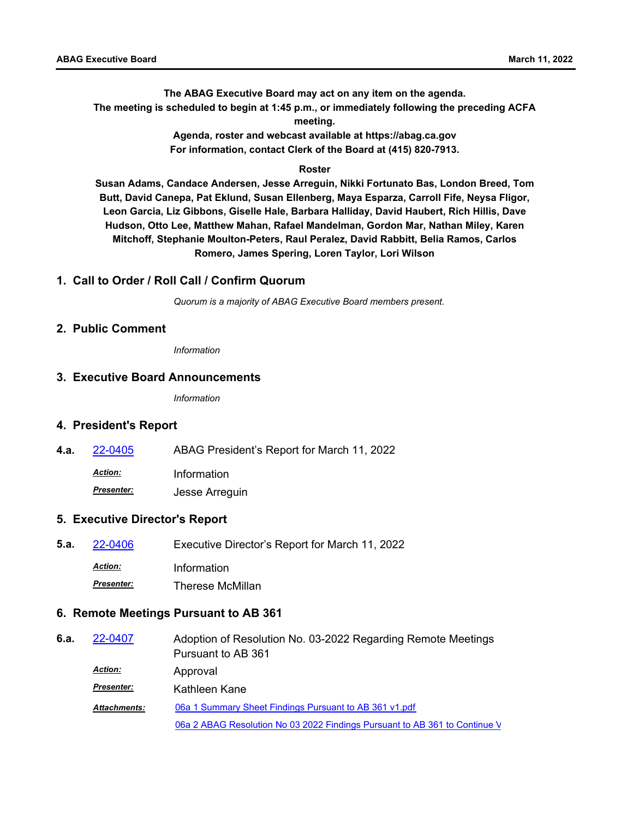**The ABAG Executive Board may act on any item on the agenda. The meeting is scheduled to begin at 1:45 p.m., or immediately following the preceding ACFA meeting.**

> **Agenda, roster and webcast available at https://abag.ca.gov For information, contact Clerk of the Board at (415) 820-7913.**

#### **Roster**

**Susan Adams, Candace Andersen, Jesse Arreguin, Nikki Fortunato Bas, London Breed, Tom Butt, David Canepa, Pat Eklund, Susan Ellenberg, Maya Esparza, Carroll Fife, Neysa Fligor, Leon Garcia, Liz Gibbons, Giselle Hale, Barbara Halliday, David Haubert, Rich Hillis, Dave Hudson, Otto Lee, Matthew Mahan, Rafael Mandelman, Gordon Mar, Nathan Miley, Karen Mitchoff, Stephanie Moulton-Peters, Raul Peralez, David Rabbitt, Belia Ramos, Carlos Romero, James Spering, Loren Taylor, Lori Wilson**

# **1. Call to Order / Roll Call / Confirm Quorum**

*Quorum is a majority of ABAG Executive Board members present.*

#### **2. Public Comment**

*Information*

#### **3. Executive Board Announcements**

*Information*

# **4. President's Report**

**4.a.** [22-0405](http://mtc.legistar.com/gateway.aspx?m=l&id=/matter.aspx?key=23664) ABAG President's Report for March 11, 2022

*Action:* Information

*Presenter:* Jesse Arreguin

# **5. Executive Director's Report**

**5.a.** [22-0406](http://mtc.legistar.com/gateway.aspx?m=l&id=/matter.aspx?key=23665) Executive Director's Report for March 11, 2022 *Action:* Information *Presenter:* Therese McMillan

# **6. Remote Meetings Pursuant to AB 361**

| 6.a. | 22-0407             | Adoption of Resolution No. 03-2022 Regarding Remote Meetings               |
|------|---------------------|----------------------------------------------------------------------------|
|      |                     | Pursuant to AB 361                                                         |
|      | <b>Action:</b>      | Approval                                                                   |
|      | <b>Presenter:</b>   | Kathleen Kane                                                              |
|      | <b>Attachments:</b> | 06a 1 Summary Sheet Findings Pursuant to AB 361 v1.pdf                     |
|      |                     | 06a 2 ABAG Resolution No 03 2022 Findings Pursuant to AB 361 to Continue V |